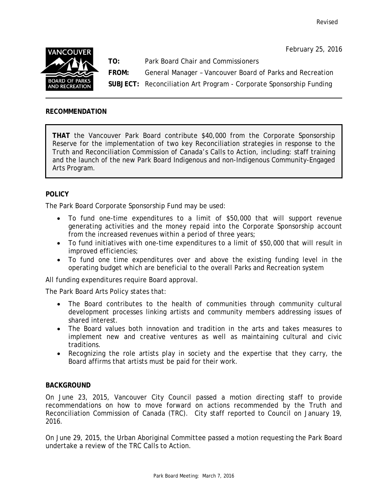

**TO:** Park Board Chair and Commissioners

**FROM:** General Manager – Vancouver Board of Parks and Recreation

**SUBJECT:** Reconciliation Art Program - Corporate Sponsorship Funding

## **RECOMMENDATION**

**THAT** the Vancouver Park Board contribute \$40,000 from the Corporate Sponsorship Reserve for the implementation of two key Reconciliation strategies in response to the Truth and Reconciliation Commission of Canada's Calls to Action, including: staff training and the launch of the new Park Board Indigenous and non-Indigenous Community-Engaged Arts Program.

# **POLICY**

The Park Board Corporate Sponsorship Fund may be used:

- To fund one-time expenditures to a limit of \$50,000 that will support revenue generating activities and the money repaid into the Corporate Sponsorship account from the increased revenues within a period of three years;
- To fund initiatives with one-time expenditures to a limit of \$50,000 that will result in improved efficiencies;
- To fund one time expenditures over and above the existing funding level in the operating budget which are beneficial to the overall Parks and Recreation system

All funding expenditures require Board approval.

The Park Board Arts Policy states that:

- The Board contributes to the health of communities through community cultural development processes linking artists and community members addressing issues of shared interest.
- The Board values both innovation and tradition in the arts and takes measures to implement new and creative ventures as well as maintaining cultural and civic traditions.
- Recognizing the role artists play in society and the expertise that they carry, the Board affirms that artists must be paid for their work.

## **BACKGROUND**

On June 23, 2015, Vancouver City Council passed a motion directing staff to provide recommendations on how to move forward on actions recommended by the Truth and Reconciliation Commission of Canada (TRC). City staff reported to Council on January 19, 2016.

On June 29, 2015, the Urban Aboriginal Committee passed a motion requesting the Park Board undertake a review of the TRC Calls to Action.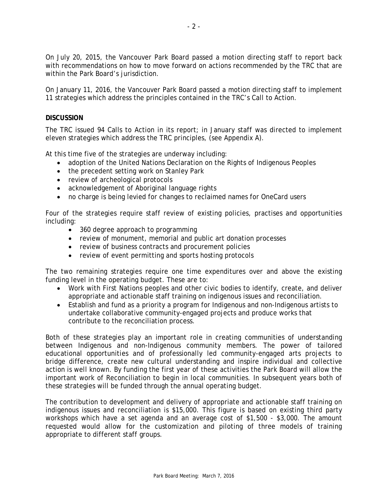On July 20, 2015, the Vancouver Park Board passed a motion directing staff to report back with recommendations on how to move forward on actions recommended by the TRC that are within the Park Board's jurisdiction.

On January 11, 2016, the Vancouver Park Board passed a motion directing staff to implement 11 strategies which address the principles contained in the TRC's Call to Action.

### **DISCUSSION**

The TRC issued 94 Calls to Action in its report; in January staff was directed to implement eleven strategies which address the TRC principles, (see Appendix A).

At this time five of the strategies are underway including:

- adoption of the United Nations Declaration on the Rights of Indigenous Peoples
- the precedent setting work on Stanley Park
- review of archeological protocols
- acknowledgement of Aboriginal language rights
- no charge is being levied for changes to reclaimed names for OneCard users

Four of the strategies require staff review of existing policies, practises and opportunities including:

- 360 degree approach to programming
- review of monument, memorial and public art donation processes
- review of business contracts and procurement policies
- review of event permitting and sports hosting protocols

The two remaining strategies require one time expenditures over and above the existing funding level in the operating budget. These are to:

- Work with First Nations peoples and other civic bodies to identify, create, and deliver appropriate and actionable staff training on indigenous issues and reconciliation.
- Establish and fund as a priority a program for Indigenous and non-Indigenous artists to undertake collaborative community-engaged projects and produce works that contribute to the reconciliation process.

Both of these strategies play an important role in creating communities of understanding between Indigenous and non-Indigenous community members. The power of tailored educational opportunities and of professionally led community-engaged arts projects to bridge difference, create new cultural understanding and inspire individual and collective action is well known. By funding the first year of these activities the Park Board will allow the important work of Reconciliation to begin in local communities. In subsequent years both of these strategies will be funded through the annual operating budget.

The contribution to development and delivery of appropriate and actionable staff training on indigenous issues and reconciliation is \$15,000. This figure is based on existing third party workshops which have a set agenda and an average cost of \$1,500 - \$3,000. The amount requested would allow for the customization and piloting of three models of training appropriate to different staff groups.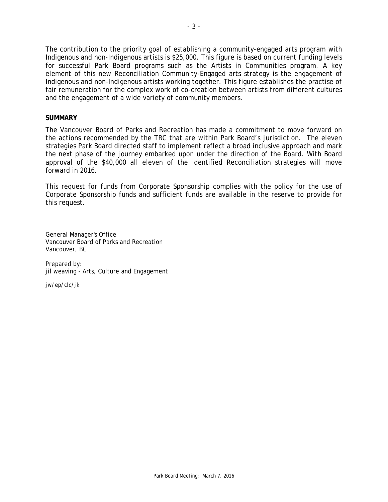The contribution to the priority goal of establishing a community-engaged arts program with Indigenous and non-Indigenous artists is \$25,000. This figure is based on current funding levels for successful Park Board programs such as the Artists in Communities program. A key element of this new Reconciliation Community-Engaged arts strategy is the engagement of Indigenous and non-Indigenous artists working together. This figure establishes the practise of fair remuneration for the complex work of co-creation between artists from different cultures and the engagement of a wide variety of community members.

### **SUMMARY**

The Vancouver Board of Parks and Recreation has made a commitment to move forward on the actions recommended by the TRC that are within Park Board's jurisdiction. The eleven strategies Park Board directed staff to implement reflect a broad inclusive approach and mark the next phase of the journey embarked upon under the direction of the Board. With Board approval of the \$40,000 all eleven of the identified Reconciliation strategies will move forward in 2016.

This request for funds from Corporate Sponsorship complies with the policy for the use of Corporate Sponsorship funds and sufficient funds are available in the reserve to provide for this request.

General Manager's Office Vancouver Board of Parks and Recreation Vancouver, BC

Prepared by: jil weaving - Arts, Culture and Engagement

jw/ep/clc/jk